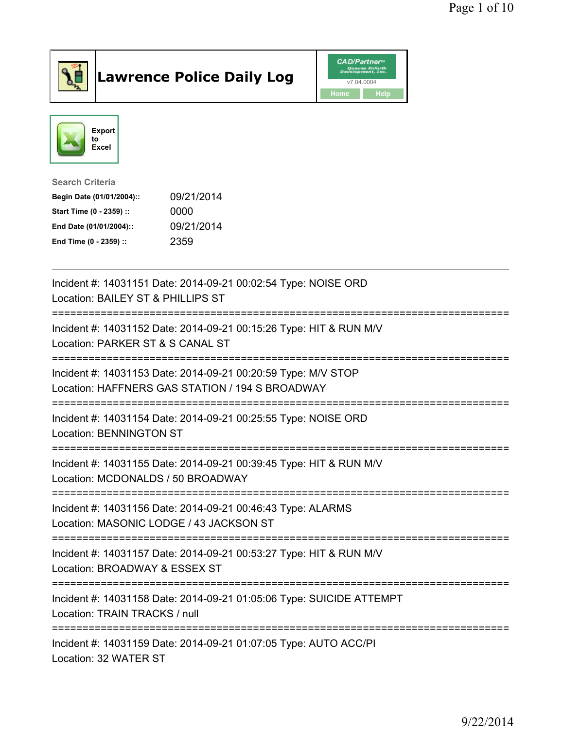

## Lawrence Police Daily Log **Daniel CAD/Partner**





## Search Criteria Begin Date (01/01/2004):: 09/21/2014 Start Time (0 - 2359) :: 0000 End Date (01/01/2004):: 09/21/2014 End Time (0 - 2359) :: 2359

| Incident #: 14031151 Date: 2014-09-21 00:02:54 Type: NOISE ORD<br>Location: BAILEY ST & PHILLIPS ST                |
|--------------------------------------------------------------------------------------------------------------------|
| Incident #: 14031152 Date: 2014-09-21 00:15:26 Type: HIT & RUN M/V<br>Location: PARKER ST & S CANAL ST             |
| Incident #: 14031153 Date: 2014-09-21 00:20:59 Type: M/V STOP<br>Location: HAFFNERS GAS STATION / 194 S BROADWAY   |
| Incident #: 14031154 Date: 2014-09-21 00:25:55 Type: NOISE ORD<br><b>Location: BENNINGTON ST</b>                   |
| Incident #: 14031155 Date: 2014-09-21 00:39:45 Type: HIT & RUN M/V<br>Location: MCDONALDS / 50 BROADWAY            |
| Incident #: 14031156 Date: 2014-09-21 00:46:43 Type: ALARMS<br>Location: MASONIC LODGE / 43 JACKSON ST             |
| -----------<br>Incident #: 14031157 Date: 2014-09-21 00:53:27 Type: HIT & RUN M/V<br>Location: BROADWAY & ESSEX ST |
| Incident #: 14031158 Date: 2014-09-21 01:05:06 Type: SUICIDE ATTEMPT<br>Location: TRAIN TRACKS / null              |
| Incident #: 14031159 Date: 2014-09-21 01:07:05 Type: AUTO ACC/PI<br>Location: 32 WATER ST                          |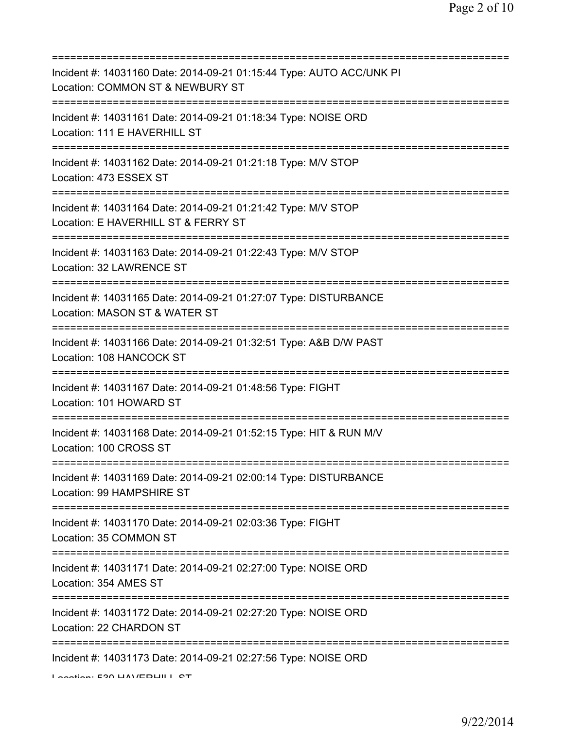| Incident #: 14031160 Date: 2014-09-21 01:15:44 Type: AUTO ACC/UNK PI<br>Location: COMMON ST & NEWBURY ST                      |
|-------------------------------------------------------------------------------------------------------------------------------|
| Incident #: 14031161 Date: 2014-09-21 01:18:34 Type: NOISE ORD<br>Location: 111 E HAVERHILL ST                                |
| Incident #: 14031162 Date: 2014-09-21 01:21:18 Type: M/V STOP<br>Location: 473 ESSEX ST                                       |
| Incident #: 14031164 Date: 2014-09-21 01:21:42 Type: M/V STOP<br>Location: E HAVERHILL ST & FERRY ST                          |
| Incident #: 14031163 Date: 2014-09-21 01:22:43 Type: M/V STOP<br>Location: 32 LAWRENCE ST                                     |
| Incident #: 14031165 Date: 2014-09-21 01:27:07 Type: DISTURBANCE<br>Location: MASON ST & WATER ST                             |
| Incident #: 14031166 Date: 2014-09-21 01:32:51 Type: A&B D/W PAST<br>Location: 108 HANCOCK ST                                 |
| =====================<br>Incident #: 14031167 Date: 2014-09-21 01:48:56 Type: FIGHT<br>Location: 101 HOWARD ST                |
| Incident #: 14031168 Date: 2014-09-21 01:52:15 Type: HIT & RUN M/V<br>Location: 100 CROSS ST                                  |
| Incident #: 14031169 Date: 2014-09-21 02:00:14 Type: DISTURBANCE<br>Location: 99 HAMPSHIRE ST                                 |
| Incident #: 14031170 Date: 2014-09-21 02:03:36 Type: FIGHT<br>Location: 35 COMMON ST                                          |
| Incident #: 14031171 Date: 2014-09-21 02:27:00 Type: NOISE ORD<br>Location: 354 AMES ST                                       |
| :===============================<br>Incident #: 14031172 Date: 2014-09-21 02:27:20 Type: NOISE ORD<br>Location: 22 CHARDON ST |
| Incident #: 14031173 Date: 2014-09-21 02:27:56 Type: NOISE ORD<br>Lootion: EQO LIAV/EDLIII L OT                               |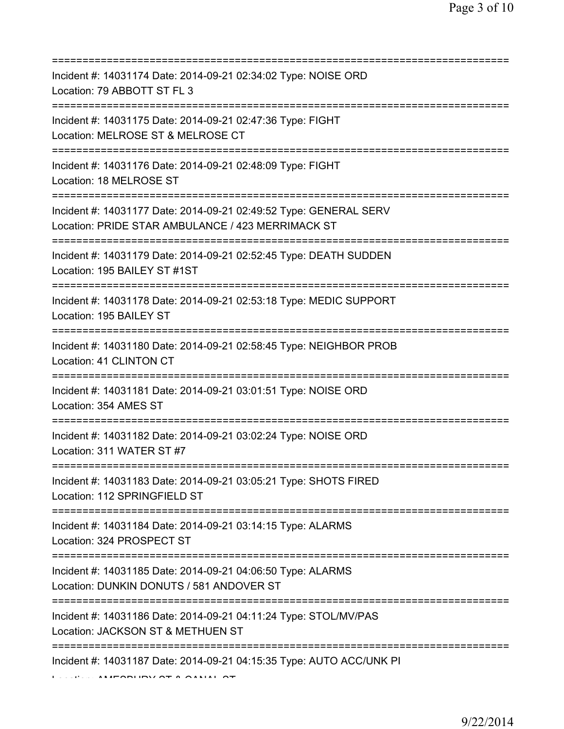| Incident #: 14031174 Date: 2014-09-21 02:34:02 Type: NOISE ORD<br>Location: 79 ABBOTT ST FL 3                                                     |
|---------------------------------------------------------------------------------------------------------------------------------------------------|
| Incident #: 14031175 Date: 2014-09-21 02:47:36 Type: FIGHT<br>Location: MELROSE ST & MELROSE CT<br>=======================                        |
| Incident #: 14031176 Date: 2014-09-21 02:48:09 Type: FIGHT<br>Location: 18 MELROSE ST<br>=====================================                    |
| Incident #: 14031177 Date: 2014-09-21 02:49:52 Type: GENERAL SERV<br>Location: PRIDE STAR AMBULANCE / 423 MERRIMACK ST                            |
| Incident #: 14031179 Date: 2014-09-21 02:52:45 Type: DEATH SUDDEN<br>Location: 195 BAILEY ST #1ST                                                 |
| Incident #: 14031178 Date: 2014-09-21 02:53:18 Type: MEDIC SUPPORT<br>Location: 195 BAILEY ST                                                     |
| Incident #: 14031180 Date: 2014-09-21 02:58:45 Type: NEIGHBOR PROB<br>Location: 41 CLINTON CT                                                     |
| Incident #: 14031181 Date: 2014-09-21 03:01:51 Type: NOISE ORD<br>Location: 354 AMES ST                                                           |
| Incident #: 14031182 Date: 2014-09-21 03:02:24 Type: NOISE ORD<br>Location: 311 WATER ST #7                                                       |
| Incident #: 14031183 Date: 2014-09-21 03:05:21 Type: SHOTS FIRED<br>Location: 112 SPRINGFIELD ST                                                  |
| Incident #: 14031184 Date: 2014-09-21 03:14:15 Type: ALARMS<br>Location: 324 PROSPECT ST                                                          |
| ______________________________________<br>Incident #: 14031185 Date: 2014-09-21 04:06:50 Type: ALARMS<br>Location: DUNKIN DONUTS / 581 ANDOVER ST |
| Incident #: 14031186 Date: 2014-09-21 04:11:24 Type: STOL/MV/PAS<br>Location: JACKSON ST & METHUEN ST                                             |
| Incident #: 14031187 Date: 2014-09-21 04:15:35 Type: AUTO ACC/UNK PI                                                                              |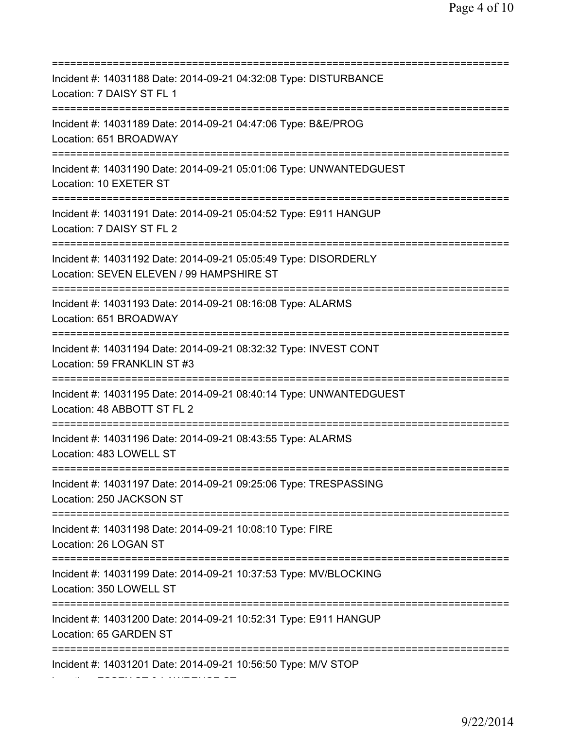=========================================================================== Incident #: 14031188 Date: 2014-09-21 04:32:08 Type: DISTURBANCE Location: 7 DAISY ST FL 1 =========================================================================== Incident #: 14031189 Date: 2014-09-21 04:47:06 Type: B&E/PROG Location: 651 BROADWAY =========================================================================== Incident #: 14031190 Date: 2014-09-21 05:01:06 Type: UNWANTEDGUEST Location: 10 EXETER ST =========================================================================== Incident #: 14031191 Date: 2014-09-21 05:04:52 Type: E911 HANGUP Location: 7 DAISY ST FL 2 =========================================================================== Incident #: 14031192 Date: 2014-09-21 05:05:49 Type: DISORDERLY Location: SEVEN ELEVEN / 99 HAMPSHIRE ST =========================================================================== Incident #: 14031193 Date: 2014-09-21 08:16:08 Type: ALARMS Location: 651 BROADWAY =========================================================================== Incident #: 14031194 Date: 2014-09-21 08:32:32 Type: INVEST CONT Location: 59 FRANKLIN ST #3 =========================================================================== Incident #: 14031195 Date: 2014-09-21 08:40:14 Type: UNWANTEDGUEST Location: 48 ABBOTT ST FL 2 =========================================================================== Incident #: 14031196 Date: 2014-09-21 08:43:55 Type: ALARMS Location: 483 LOWELL ST =========================================================================== Incident #: 14031197 Date: 2014-09-21 09:25:06 Type: TRESPASSING Location: 250 JACKSON ST =========================================================================== Incident #: 14031198 Date: 2014-09-21 10:08:10 Type: FIRE Location: 26 LOGAN ST =========================================================================== Incident #: 14031199 Date: 2014-09-21 10:37:53 Type: MV/BLOCKING Location: 350 LOWELL ST =========================================================================== Incident #: 14031200 Date: 2014-09-21 10:52:31 Type: E911 HANGUP Location: 65 GARDEN ST =========================================================================== Incident #: 14031201 Date: 2014-09-21 10:56:50 Type: M/V STOP

Location: ESSEX ST & LAWRENCE ST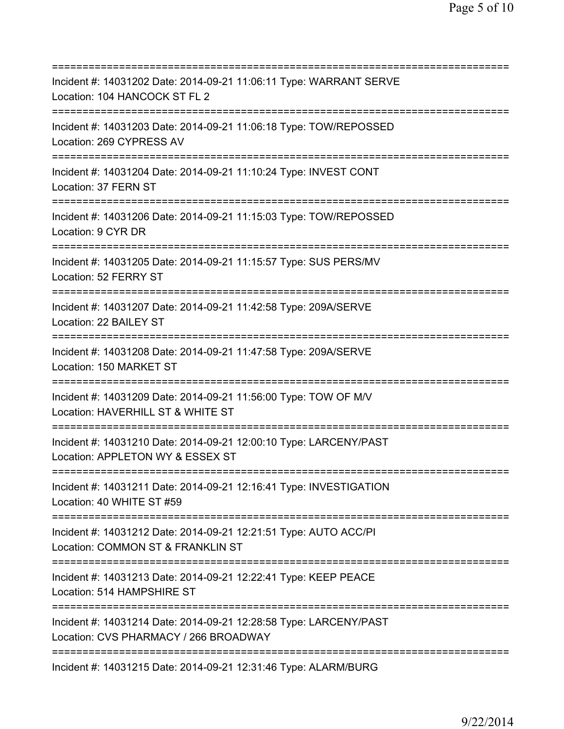=========================================================================== Incident #: 14031202 Date: 2014-09-21 11:06:11 Type: WARRANT SERVE Location: 104 HANCOCK ST FL 2 =========================================================================== Incident #: 14031203 Date: 2014-09-21 11:06:18 Type: TOW/REPOSSED Location: 269 CYPRESS AV =========================================================================== Incident #: 14031204 Date: 2014-09-21 11:10:24 Type: INVEST CONT Location: 37 FERN ST =========================================================================== Incident #: 14031206 Date: 2014-09-21 11:15:03 Type: TOW/REPOSSED Location: 9 CYR DR =========================================================================== Incident #: 14031205 Date: 2014-09-21 11:15:57 Type: SUS PERS/MV Location: 52 FERRY ST =========================================================================== Incident #: 14031207 Date: 2014-09-21 11:42:58 Type: 209A/SERVE Location: 22 BAILEY ST =========================================================================== Incident #: 14031208 Date: 2014-09-21 11:47:58 Type: 209A/SERVE Location: 150 MARKET ST =========================================================================== Incident #: 14031209 Date: 2014-09-21 11:56:00 Type: TOW OF M/V Location: HAVERHILL ST & WHITE ST =========================================================================== Incident #: 14031210 Date: 2014-09-21 12:00:10 Type: LARCENY/PAST Location: APPLETON WY & ESSEX ST =========================================================================== Incident #: 14031211 Date: 2014-09-21 12:16:41 Type: INVESTIGATION Location: 40 WHITE ST #59 =========================================================================== Incident #: 14031212 Date: 2014-09-21 12:21:51 Type: AUTO ACC/PI Location: COMMON ST & FRANKLIN ST =========================================================================== Incident #: 14031213 Date: 2014-09-21 12:22:41 Type: KEEP PEACE Location: 514 HAMPSHIRE ST =========================================================================== Incident #: 14031214 Date: 2014-09-21 12:28:58 Type: LARCENY/PAST Location: CVS PHARMACY / 266 BROADWAY =========================================================================== Incident #: 14031215 Date: 2014-09-21 12:31:46 Type: ALARM/BURG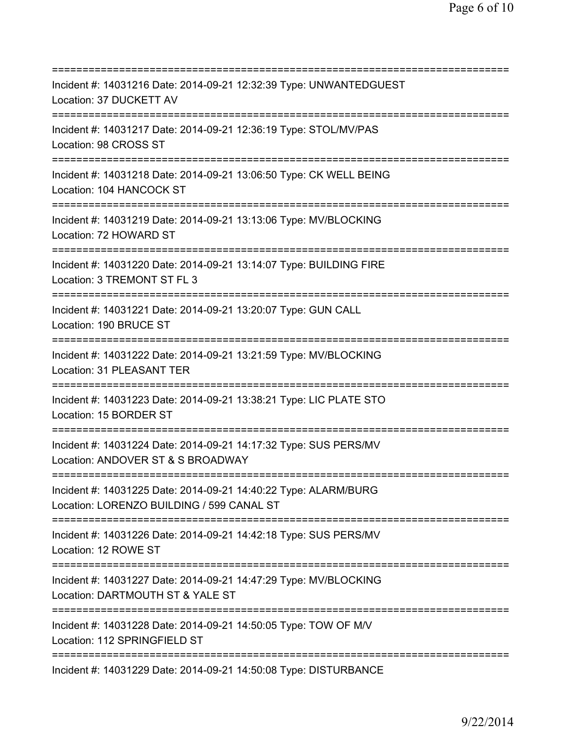=========================================================================== Incident #: 14031216 Date: 2014-09-21 12:32:39 Type: UNWANTEDGUEST Location: 37 DUCKETT AV =========================================================================== Incident #: 14031217 Date: 2014-09-21 12:36:19 Type: STOL/MV/PAS Location: 98 CROSS ST =========================================================================== Incident #: 14031218 Date: 2014-09-21 13:06:50 Type: CK WELL BEING Location: 104 HANCOCK ST =========================================================================== Incident #: 14031219 Date: 2014-09-21 13:13:06 Type: MV/BLOCKING Location: 72 HOWARD ST =========================================================================== Incident #: 14031220 Date: 2014-09-21 13:14:07 Type: BUILDING FIRE Location: 3 TREMONT ST FL 3 =========================================================================== Incident #: 14031221 Date: 2014-09-21 13:20:07 Type: GUN CALL Location: 190 BRUCE ST =========================================================================== Incident #: 14031222 Date: 2014-09-21 13:21:59 Type: MV/BLOCKING Location: 31 PLEASANT TER =========================================================================== Incident #: 14031223 Date: 2014-09-21 13:38:21 Type: LIC PLATE STO Location: 15 BORDER ST =========================================================================== Incident #: 14031224 Date: 2014-09-21 14:17:32 Type: SUS PERS/MV Location: ANDOVER ST & S BROADWAY =========================================================================== Incident #: 14031225 Date: 2014-09-21 14:40:22 Type: ALARM/BURG Location: LORENZO BUILDING / 599 CANAL ST =========================================================================== Incident #: 14031226 Date: 2014-09-21 14:42:18 Type: SUS PERS/MV Location: 12 ROWE ST =========================================================================== Incident #: 14031227 Date: 2014-09-21 14:47:29 Type: MV/BLOCKING Location: DARTMOUTH ST & YALE ST =========================================================================== Incident #: 14031228 Date: 2014-09-21 14:50:05 Type: TOW OF M/V Location: 112 SPRINGFIELD ST =========================================================================== Incident #: 14031229 Date: 2014-09-21 14:50:08 Type: DISTURBANCE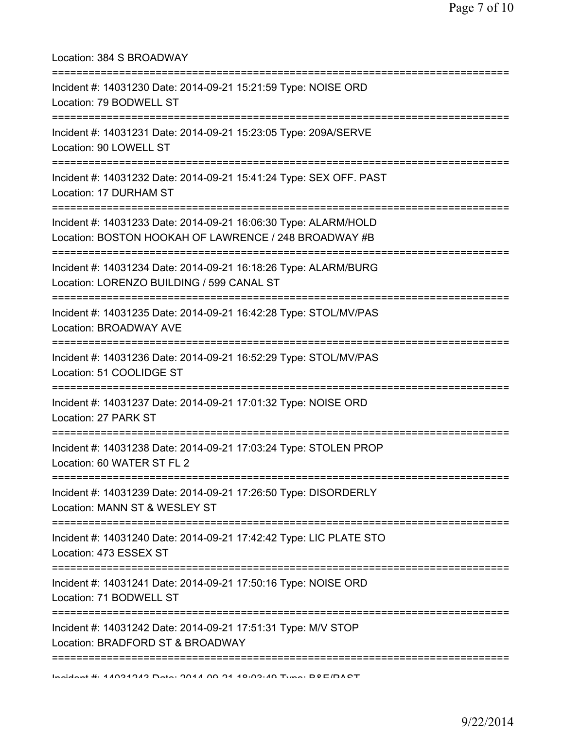| Location: 384 S BROADWAY                                                                                                         |
|----------------------------------------------------------------------------------------------------------------------------------|
| Incident #: 14031230 Date: 2014-09-21 15:21:59 Type: NOISE ORD<br>Location: 79 BODWELL ST<br>----------------------------------- |
| Incident #: 14031231 Date: 2014-09-21 15:23:05 Type: 209A/SERVE<br>Location: 90 LOWELL ST<br>==============================      |
| Incident #: 14031232 Date: 2014-09-21 15:41:24 Type: SEX OFF. PAST<br>Location: 17 DURHAM ST                                     |
| Incident #: 14031233 Date: 2014-09-21 16:06:30 Type: ALARM/HOLD<br>Location: BOSTON HOOKAH OF LAWRENCE / 248 BROADWAY #B         |
| Incident #: 14031234 Date: 2014-09-21 16:18:26 Type: ALARM/BURG<br>Location: LORENZO BUILDING / 599 CANAL ST                     |
| Incident #: 14031235 Date: 2014-09-21 16:42:28 Type: STOL/MV/PAS<br>Location: BROADWAY AVE                                       |
| Incident #: 14031236 Date: 2014-09-21 16:52:29 Type: STOL/MV/PAS<br>Location: 51 COOLIDGE ST                                     |
| Incident #: 14031237 Date: 2014-09-21 17:01:32 Type: NOISE ORD<br>Location: 27 PARK ST                                           |
| Incident #: 14031238 Date: 2014-09-21 17:03:24 Type: STOLEN PROP<br>Location: 60 WATER ST FL 2                                   |
| ===========================<br>Incident #: 14031239 Date: 2014-09-21 17:26:50 Type: DISORDERLY<br>Location: MANN ST & WESLEY ST  |
| Incident #: 14031240 Date: 2014-09-21 17:42:42 Type: LIC PLATE STO<br>Location: 473 ESSEX ST                                     |
| Incident #: 14031241 Date: 2014-09-21 17:50:16 Type: NOISE ORD<br>Location: 71 BODWELL ST<br>===================                 |
| Incident #: 14031242 Date: 2014-09-21 17:51:31 Type: M/V STOP<br>Location: BRADFORD ST & BROADWAY                                |
| Individual # 4A0242A2 Detail OD AA A0.09.AD Tunn: DOE/DACT                                                                       |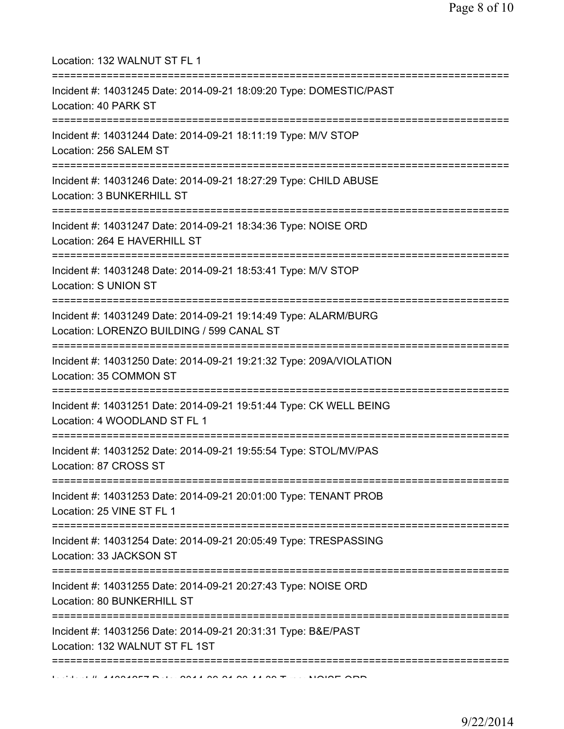| Location: 132 WALNUT ST FL 1<br>==================================                                                                     |
|----------------------------------------------------------------------------------------------------------------------------------------|
| Incident #: 14031245 Date: 2014-09-21 18:09:20 Type: DOMESTIC/PAST<br>Location: 40 PARK ST<br>=========================                |
| Incident #: 14031244 Date: 2014-09-21 18:11:19 Type: M/V STOP<br>Location: 256 SALEM ST<br>===================================         |
| Incident #: 14031246 Date: 2014-09-21 18:27:29 Type: CHILD ABUSE<br>Location: 3 BUNKERHILL ST<br>==================================    |
| Incident #: 14031247 Date: 2014-09-21 18:34:36 Type: NOISE ORD<br>Location: 264 E HAVERHILL ST                                         |
| Incident #: 14031248 Date: 2014-09-21 18:53:41 Type: M/V STOP<br><b>Location: S UNION ST</b>                                           |
| Incident #: 14031249 Date: 2014-09-21 19:14:49 Type: ALARM/BURG<br>Location: LORENZO BUILDING / 599 CANAL ST                           |
| Incident #: 14031250 Date: 2014-09-21 19:21:32 Type: 209A/VIOLATION<br>Location: 35 COMMON ST                                          |
| Incident #: 14031251 Date: 2014-09-21 19:51:44 Type: CK WELL BEING<br>Location: 4 WOODLAND ST FL 1                                     |
| -----------------------<br>Incident #: 14031252 Date: 2014-09-21 19:55:54 Type: STOL/MV/PAS<br>Location: 87 CROSS ST                   |
| =====================================<br>Incident #: 14031253 Date: 2014-09-21 20:01:00 Type: TENANT PROB<br>Location: 25 VINE ST FL 1 |
| Incident #: 14031254 Date: 2014-09-21 20:05:49 Type: TRESPASSING<br>Location: 33 JACKSON ST                                            |
| Incident #: 14031255 Date: 2014-09-21 20:27:43 Type: NOISE ORD<br>Location: 80 BUNKERHILL ST                                           |
| Incident #: 14031256 Date: 2014-09-21 20:31:31 Type: B&E/PAST<br>Location: 132 WALNUT ST FL 1ST                                        |
|                                                                                                                                        |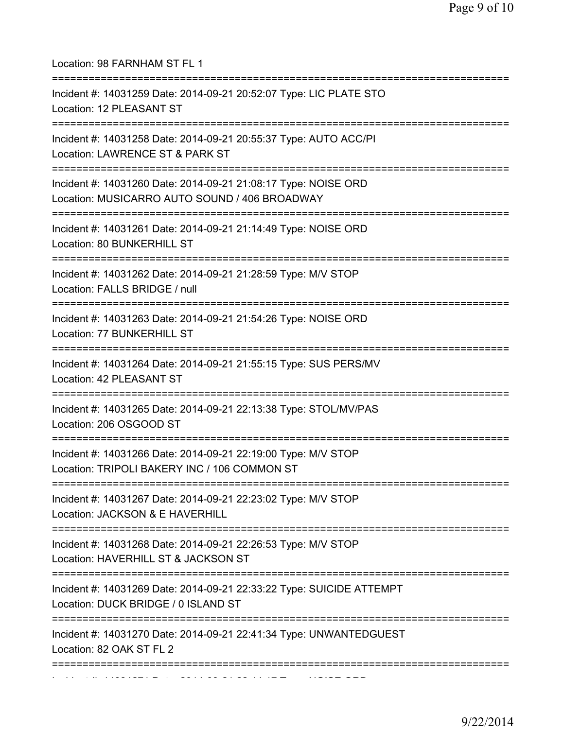| Location: 98 FARNHAM ST FL 1<br>======================                                                          |
|-----------------------------------------------------------------------------------------------------------------|
| Incident #: 14031259 Date: 2014-09-21 20:52:07 Type: LIC PLATE STO<br>Location: 12 PLEASANT ST                  |
| Incident #: 14031258 Date: 2014-09-21 20:55:37 Type: AUTO ACC/PI<br>Location: LAWRENCE ST & PARK ST             |
| Incident #: 14031260 Date: 2014-09-21 21:08:17 Type: NOISE ORD<br>Location: MUSICARRO AUTO SOUND / 406 BROADWAY |
| Incident #: 14031261 Date: 2014-09-21 21:14:49 Type: NOISE ORD<br>Location: 80 BUNKERHILL ST                    |
| Incident #: 14031262 Date: 2014-09-21 21:28:59 Type: M/V STOP<br>Location: FALLS BRIDGE / null                  |
| Incident #: 14031263 Date: 2014-09-21 21:54:26 Type: NOISE ORD<br>Location: 77 BUNKERHILL ST                    |
| Incident #: 14031264 Date: 2014-09-21 21:55:15 Type: SUS PERS/MV<br>Location: 42 PLEASANT ST                    |
| Incident #: 14031265 Date: 2014-09-21 22:13:38 Type: STOL/MV/PAS<br>Location: 206 OSGOOD ST                     |
| Incident #: 14031266 Date: 2014-09-21 22:19:00 Type: M/V STOP<br>Location: TRIPOLI BAKERY INC / 106 COMMON ST   |
| Incident #: 14031267 Date: 2014-09-21 22:23:02 Type: M/V STOP<br>Location: JACKSON & E HAVERHILL                |
| Incident #: 14031268 Date: 2014-09-21 22:26:53 Type: M/V STOP<br>Location: HAVERHILL ST & JACKSON ST            |
| Incident #: 14031269 Date: 2014-09-21 22:33:22 Type: SUICIDE ATTEMPT<br>Location: DUCK BRIDGE / 0 ISLAND ST     |
| Incident #: 14031270 Date: 2014-09-21 22:41:34 Type: UNWANTEDGUEST<br>Location: 82 OAK ST FL 2                  |
|                                                                                                                 |